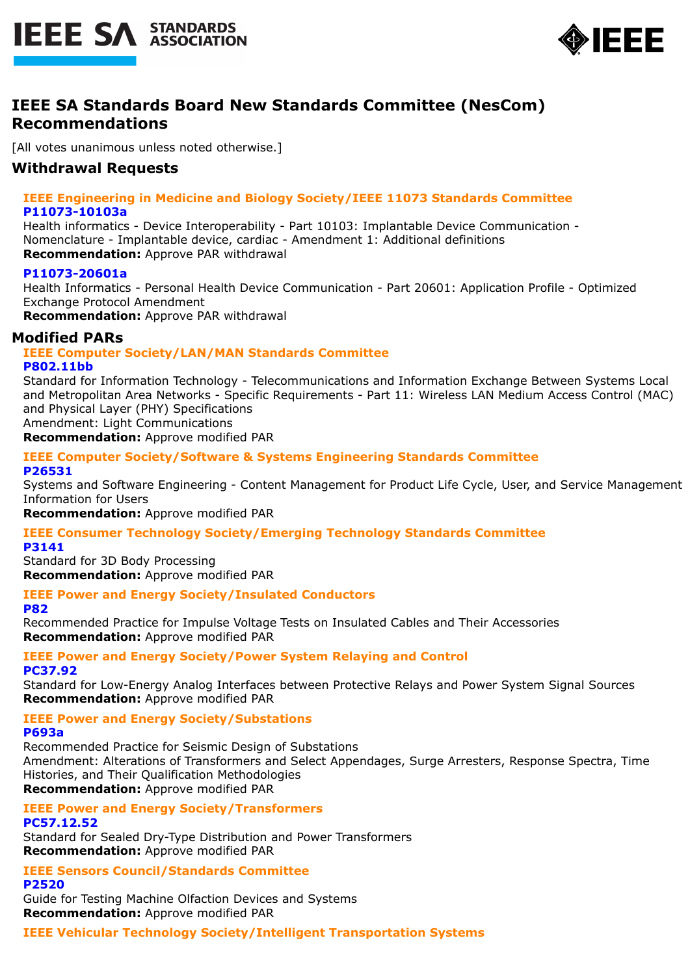



# **IEEE SA Standards Board New Standards Committee (NesCom) Recommendations**

[All votes unanimous unless noted otherwise.]

# **Withdrawal Requests**

## **IEEE Engineering in Medicine and Biology Society/IEEE 11073 Standards Committee P11073-10103a**

Health informatics - Device Interoperability - Part 10103: Implantable Device Communication - Nomenclature - Implantable device, cardiac - Amendment 1: Additional definitions **Recommendation:** Approve PAR withdrawal

## **P11073-20601a**

Health Informatics - Personal Health Device Communication - Part 20601: Application Profile - Optimized Exchange Protocol Amendment

**Recommendation:** Approve PAR withdrawal

## **Modified PARs**

#### **IEEE Computer Society/LAN/MAN Standards Committee P802.11bb**

Standard for Information Technology - Telecommunications and Information Exchange Between Systems Local and Metropolitan Area Networks - Specific Requirements - Part 11: Wireless LAN Medium Access Control (MAC) and Physical Layer (PHY) Specifications Amendment: Light Communications

**Recommendation:** Approve modified PAR

## **IEEE Computer Society/Software & Systems Engineering Standards Committee P26531**

Systems and Software Engineering - Content Management for Product Life Cycle, User, and Service Management Information for Users

**Recommendation:** Approve modified PAR

#### **IEEE Consumer Technology Society/Emerging Technology Standards Committee P3141**

Standard for 3D Body Processing **Recommendation:** Approve modified PAR

## **IEEE Power and Energy Society/Insulated Conductors**

**P82**

Recommended Practice for Impulse Voltage Tests on Insulated Cables and Their Accessories **Recommendation:** Approve modified PAR

#### **IEEE Power and Energy Society/Power System Relaying and Control PC37.92**

Standard for Low-Energy Analog Interfaces between Protective Relays and Power System Signal Sources **Recommendation:** Approve modified PAR

**IEEE Power and Energy Society/Substations**

## **P693a**

Recommended Practice for Seismic Design of Substations Amendment: Alterations of Transformers and Select Appendages, Surge Arresters, Response Spectra, Time Histories, and Their Qualification Methodologies **Recommendation:** Approve modified PAR

**IEEE Power and Energy Society/Transformers**

## **PC57.12.52**

Standard for Sealed Dry-Type Distribution and Power Transformers **Recommendation:** Approve modified PAR

**IEEE Sensors Council/Standards Committee P2520**

Guide for Testing Machine Olfaction Devices and Systems **Recommendation:** Approve modified PAR

**IEEE Vehicular Technology Society/Intelligent Transportation Systems**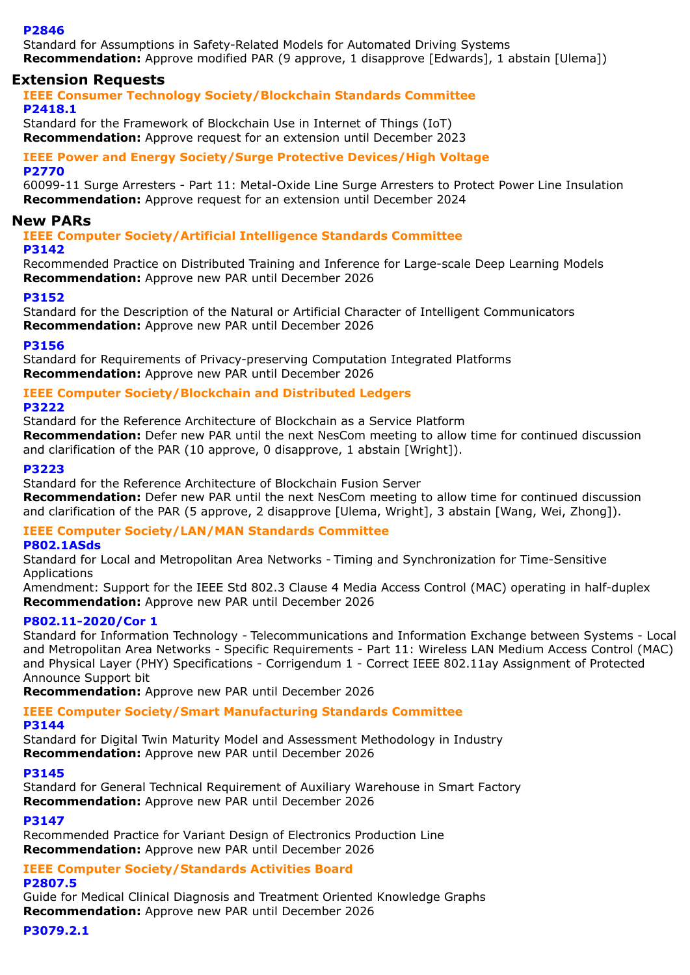## **P2846**

Standard for Assumptions in Safety-Related Models for Automated Driving Systems **Recommendation:** Approve modified PAR (9 approve, 1 disapprove [Edwards], 1 abstain [Ulema])

## **Extension Requests**

**IEEE Consumer Technology Society/Blockchain Standards Committee P2418.1**

Standard for the Framework of Blockchain Use in Internet of Things (IoT) **Recommendation:** Approve request for an extension until December 2023

## **IEEE Power and Energy Society/Surge Protective Devices/High Voltage P2770**

60099-11 Surge Arresters - Part 11: Metal-Oxide Line Surge Arresters to Protect Power Line Insulation **Recommendation:** Approve request for an extension until December 2024

## **New PARs**

**IEEE Computer Society/Artificial Intelligence Standards Committee**

## **P3142**

Recommended Practice on Distributed Training and Inference for Large-scale Deep Learning Models **Recommendation:** Approve new PAR until December 2026

## **P3152**

Standard for the Description of the Natural or Artificial Character of Intelligent Communicators **Recommendation:** Approve new PAR until December 2026

## **P3156**

Standard for Requirements of Privacy-preserving Computation Integrated Platforms **Recommendation:** Approve new PAR until December 2026

## **IEEE Computer Society/Blockchain and Distributed Ledgers**

## **P3222**

Standard for the Reference Architecture of Blockchain as a Service Platform **Recommendation:** Defer new PAR until the next NesCom meeting to allow time for continued discussion and clarification of the PAR (10 approve, 0 disapprove, 1 abstain [Wright]).

## **P3223**

Standard for the Reference Architecture of Blockchain Fusion Server

**Recommendation:** Defer new PAR until the next NesCom meeting to allow time for continued discussion and clarification of the PAR (5 approve, 2 disapprove [Ulema, Wright], 3 abstain [Wang, Wei, Zhong]).

## **IEEE Computer Society/LAN/MAN Standards Committee**

## **P802.1ASds**

Standard for Local and Metropolitan Area Networks - Timing and Synchronization for Time-Sensitive Applications

Amendment: Support for the IEEE Std 802.3 Clause 4 Media Access Control (MAC) operating in half-duplex **Recommendation:** Approve new PAR until December 2026

## **P802.11-2020/Cor 1**

Standard for Information Technology - Telecommunications and Information Exchange between Systems - Local and Metropolitan Area Networks - Specific Requirements - Part 11: Wireless LAN Medium Access Control (MAC) and Physical Layer (PHY) Specifications - Corrigendum 1 - Correct IEEE 802.11ay Assignment of Protected Announce Support bit

**Recommendation:** Approve new PAR until December 2026

## **IEEE Computer Society/Smart Manufacturing Standards Committee**

## **P3144**

Standard for Digital Twin Maturity Model and Assessment Methodology in Industry **Recommendation:** Approve new PAR until December 2026

## **P3145**

Standard for General Technical Requirement of Auxiliary Warehouse in Smart Factory **Recommendation:** Approve new PAR until December 2026

## **P3147**

Recommended Practice for Variant Design of Electronics Production Line **Recommendation:** Approve new PAR until December 2026

## **IEEE Computer Society/Standards Activities Board**

## **P2807.5**

Guide for Medical Clinical Diagnosis and Treatment Oriented Knowledge Graphs **Recommendation:** Approve new PAR until December 2026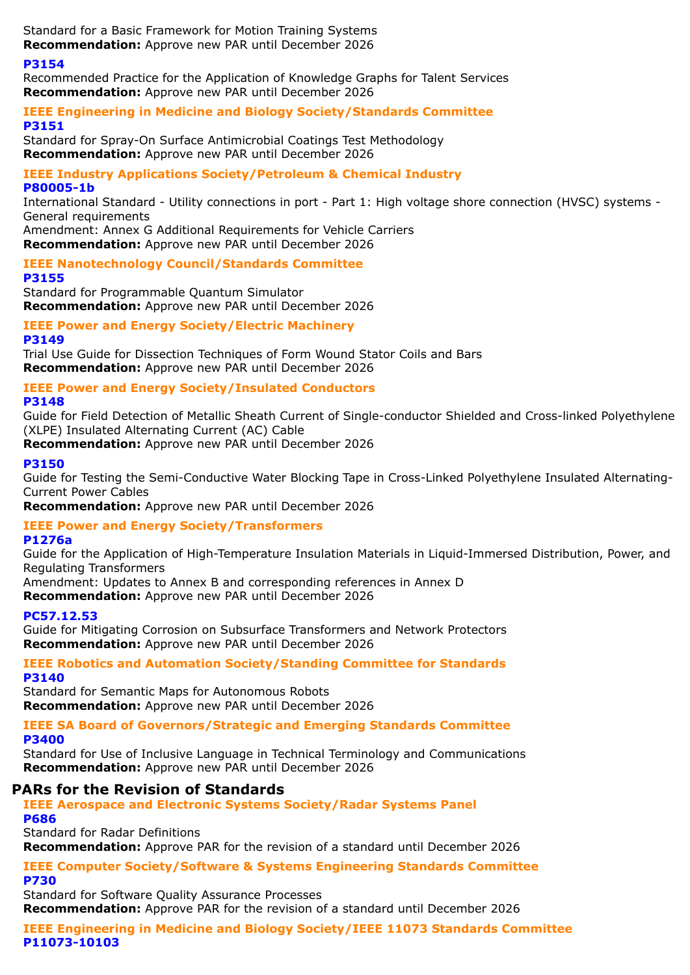Standard for a Basic Framework for Motion Training Systems **Recommendation:** Approve new PAR until December 2026

## **P3154**

Recommended Practice for the Application of Knowledge Graphs for Talent Services **Recommendation:** Approve new PAR until December 2026

## **IEEE Engineering in Medicine and Biology Society/Standards Committee P3151**

Standard for Spray-On Surface Antimicrobial Coatings Test Methodology **Recommendation:** Approve new PAR until December 2026

## **IEEE Industry Applications Society/Petroleum & Chemical Industry P80005-1b**

International Standard - Utility connections in port - Part 1: High voltage shore connection (HVSC) systems - General requirements

Amendment: Annex G Additional Requirements for Vehicle Carriers **Recommendation:** Approve new PAR until December 2026

**IEEE Nanotechnology Council/Standards Committee**

**P3155** Standard for Programmable Quantum Simulator **Recommendation:** Approve new PAR until December 2026

**IEEE Power and Energy Society/Electric Machinery**

**P3149**

Trial Use Guide for Dissection Techniques of Form Wound Stator Coils and Bars **Recommendation:** Approve new PAR until December 2026

# **IEEE Power and Energy Society/Insulated Conductors**

**P3148**

Guide for Field Detection of Metallic Sheath Current of Single-conductor Shielded and Cross-linked Polyethylene (XLPE) Insulated Alternating Current (AC) Cable

**Recommendation:** Approve new PAR until December 2026

## **P3150**

Guide for Testing the Semi-Conductive Water Blocking Tape in Cross-Linked Polyethylene Insulated Alternating-Current Power Cables

**Recommendation:** Approve new PAR until December 2026

# **IEEE Power and Energy Society/Transformers**

**P1276a**

Guide for the Application of High-Temperature Insulation Materials in Liquid-Immersed Distribution, Power, and Regulating Transformers

Amendment: Updates to Annex B and corresponding references in Annex D

**Recommendation:** Approve new PAR until December 2026

# **PC57.12.53**

Guide for Mitigating Corrosion on Subsurface Transformers and Network Protectors **Recommendation:** Approve new PAR until December 2026

# **IEEE Robotics and Automation Society/Standing Committee for Standards**

**P3140**

Standard for Semantic Maps for Autonomous Robots **Recommendation:** Approve new PAR until December 2026

# **IEEE SA Board of Governors/Strategic and Emerging Standards Committee**

**P3400**

Standard for Use of Inclusive Language in Technical Terminology and Communications **Recommendation:** Approve new PAR until December 2026

# **PARs for the Revision of Standards**

# **IEEE Aerospace and Electronic Systems Society/Radar Systems Panel**

**P686**

Standard for Radar Definitions

**Recommendation:** Approve PAR for the revision of a standard until December 2026

## **IEEE Computer Society/Software & Systems Engineering Standards Committee P730**

Standard for Software Quality Assurance Processes

**Recommendation:** Approve PAR for the revision of a standard until December 2026

**IEEE Engineering in Medicine and Biology Society/IEEE 11073 Standards Committee P11073-10103**